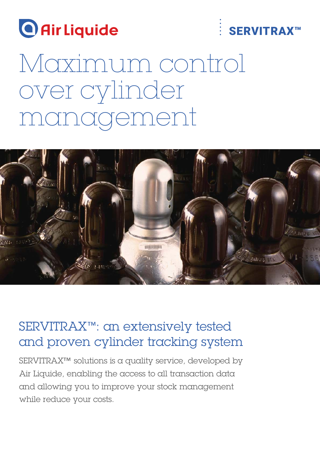

# SERVITRAX™

Maximum control over cylinder management



## SERVITRAX™: an extensively tested and proven cylinder tracking system

SERVITRAX™ solutions is a quality service, developed by Air Liquide, enabling the access to all transaction data and allowing you to improve your stock management while reduce your costs.